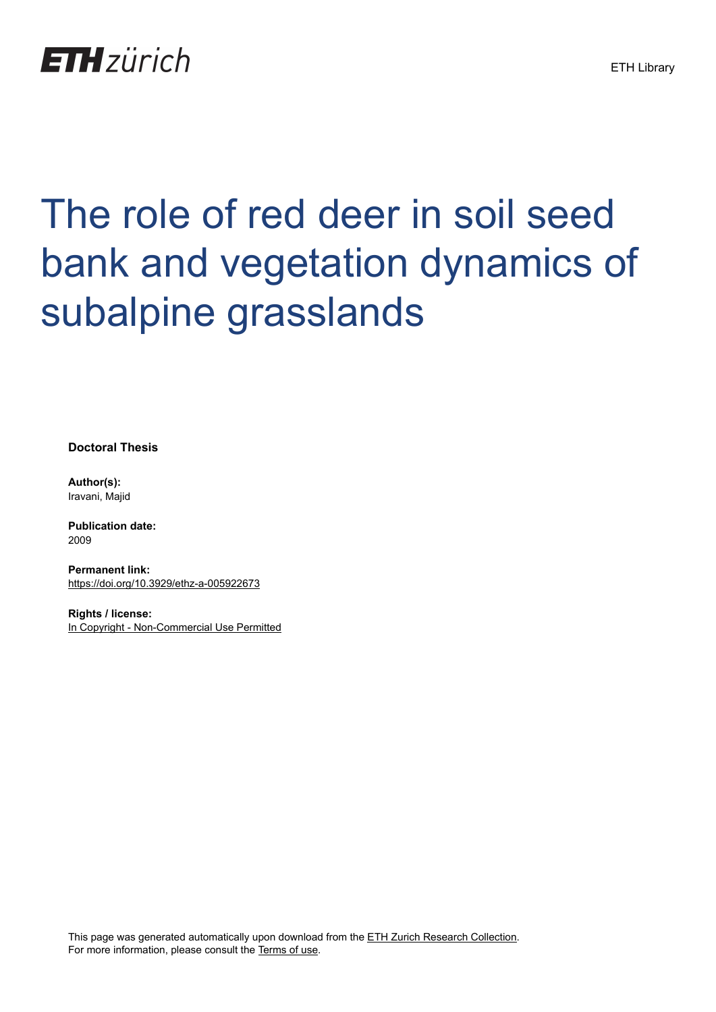

# The role of red deer in soil seed bank and vegetation dynamics of subalpine grasslands

**Doctoral Thesis**

**Author(s):** Iravani, Majid

**Publication date:** 2009

**Permanent link:** <https://doi.org/10.3929/ethz-a-005922673>

**Rights / license:** [In Copyright - Non-Commercial Use Permitted](http://rightsstatements.org/page/InC-NC/1.0/)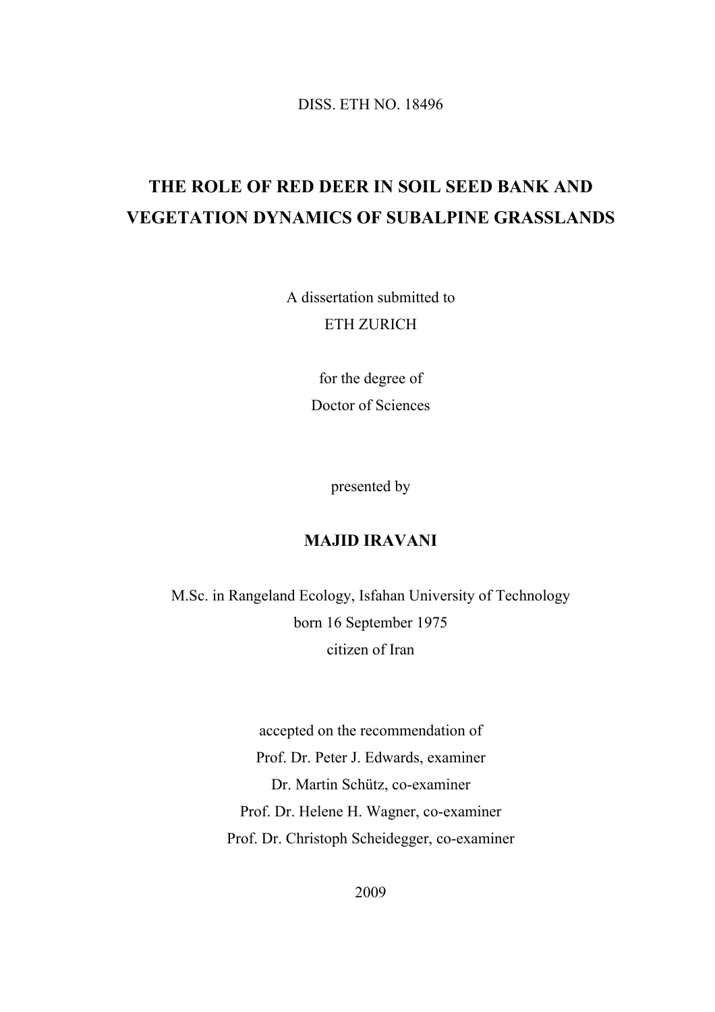DISS. ETH NO. 18496

## **THE ROLE OF RED DEER IN SOIL SEED BANK AND VEGETATION DYNAMICS OF SUBALPINE GRASSLANDS**

A dissertation submitted to ETH ZURICH

> for the degree of Doctor of Sciences

> > presented by

#### **MAJID IRAVANI**

M.Sc. in Rangeland Ecology, Isfahan University of Technology born 16 September 1975 citizen of Iran

> accepted on the recommendation of Prof. Dr. Peter J. Edwards, examiner Dr. Martin Schütz, co-examiner Prof. Dr. Helene H. Wagner, co-examiner Prof. Dr. Christoph Scheidegger, co-examiner

> > 2009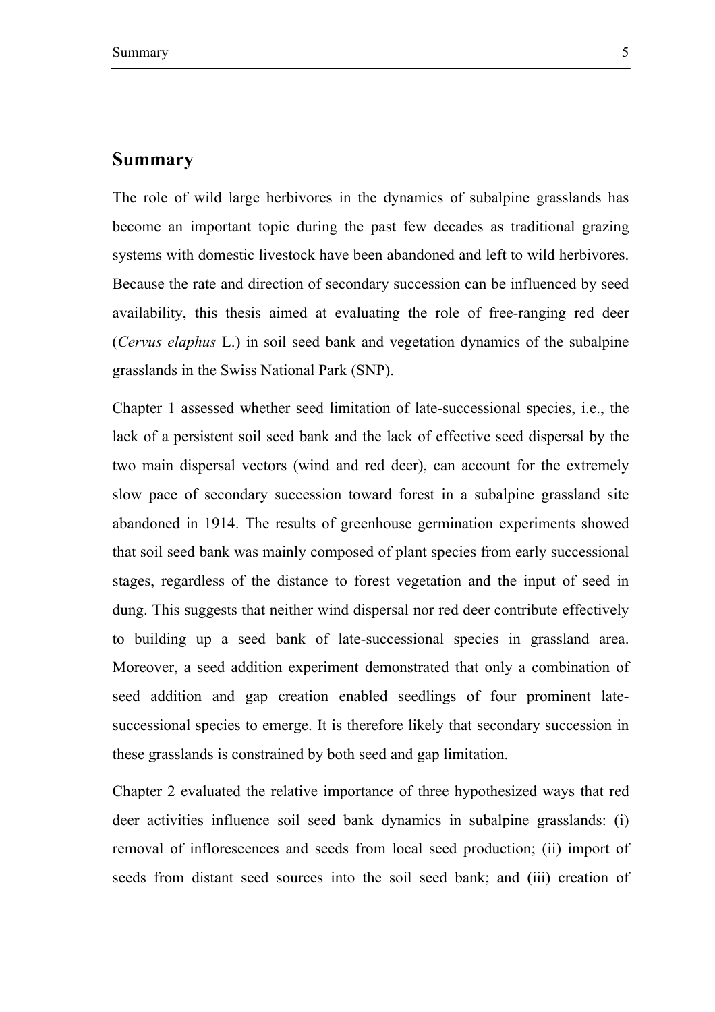#### **Summary**

The role of wild large herbivores in the dynamics of subalpine grasslands has become an important topic during the past few decades as traditional grazing systems with domestic livestock have been abandoned and left to wild herbivores. Because the rate and direction of secondary succession can be influenced by seed availability, this thesis aimed at evaluating the role of free-ranging red deer (*Cervus elaphus* L.) in soil seed bank and vegetation dynamics of the subalpine grasslands in the Swiss National Park (SNP).

Chapter 1 assessed whether seed limitation of late-successional species, i.e., the lack of a persistent soil seed bank and the lack of effective seed dispersal by the two main dispersal vectors (wind and red deer), can account for the extremely slow pace of secondary succession toward forest in a subalpine grassland site abandoned in 1914. The results of greenhouse germination experiments showed that soil seed bank was mainly composed of plant species from early successional stages, regardless of the distance to forest vegetation and the input of seed in dung. This suggests that neither wind dispersal nor red deer contribute effectively to building up a seed bank of late-successional species in grassland area. Moreover, a seed addition experiment demonstrated that only a combination of seed addition and gap creation enabled seedlings of four prominent latesuccessional species to emerge. It is therefore likely that secondary succession in these grasslands is constrained by both seed and gap limitation.

Chapter 2 evaluated the relative importance of three hypothesized ways that red deer activities influence soil seed bank dynamics in subalpine grasslands: (i) removal of inflorescences and seeds from local seed production; (ii) import of seeds from distant seed sources into the soil seed bank; and (iii) creation of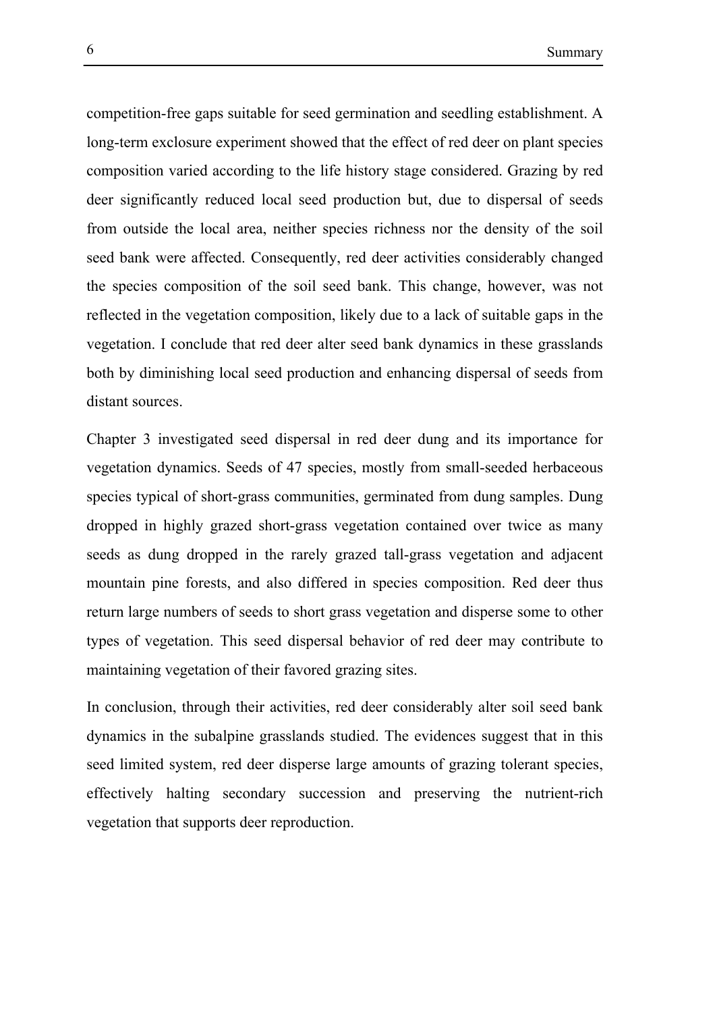competition-free gaps suitable for seed germination and seedling establishment. A long-term exclosure experiment showed that the effect of red deer on plant species composition varied according to the life history stage considered. Grazing by red deer significantly reduced local seed production but, due to dispersal of seeds from outside the local area, neither species richness nor the density of the soil seed bank were affected. Consequently, red deer activities considerably changed the species composition of the soil seed bank. This change, however, was not reflected in the vegetation composition, likely due to a lack of suitable gaps in the vegetation. I conclude that red deer alter seed bank dynamics in these grasslands both by diminishing local seed production and enhancing dispersal of seeds from distant sources.

Chapter 3 investigated seed dispersal in red deer dung and its importance for vegetation dynamics. Seeds of 47 species, mostly from small-seeded herbaceous species typical of short-grass communities, germinated from dung samples. Dung dropped in highly grazed short-grass vegetation contained over twice as many seeds as dung dropped in the rarely grazed tall-grass vegetation and adjacent mountain pine forests, and also differed in species composition. Red deer thus return large numbers of seeds to short grass vegetation and disperse some to other types of vegetation. This seed dispersal behavior of red deer may contribute to maintaining vegetation of their favored grazing sites.

In conclusion, through their activities, red deer considerably alter soil seed bank dynamics in the subalpine grasslands studied. The evidences suggest that in this seed limited system, red deer disperse large amounts of grazing tolerant species, effectively halting secondary succession and preserving the nutrient-rich vegetation that supports deer reproduction.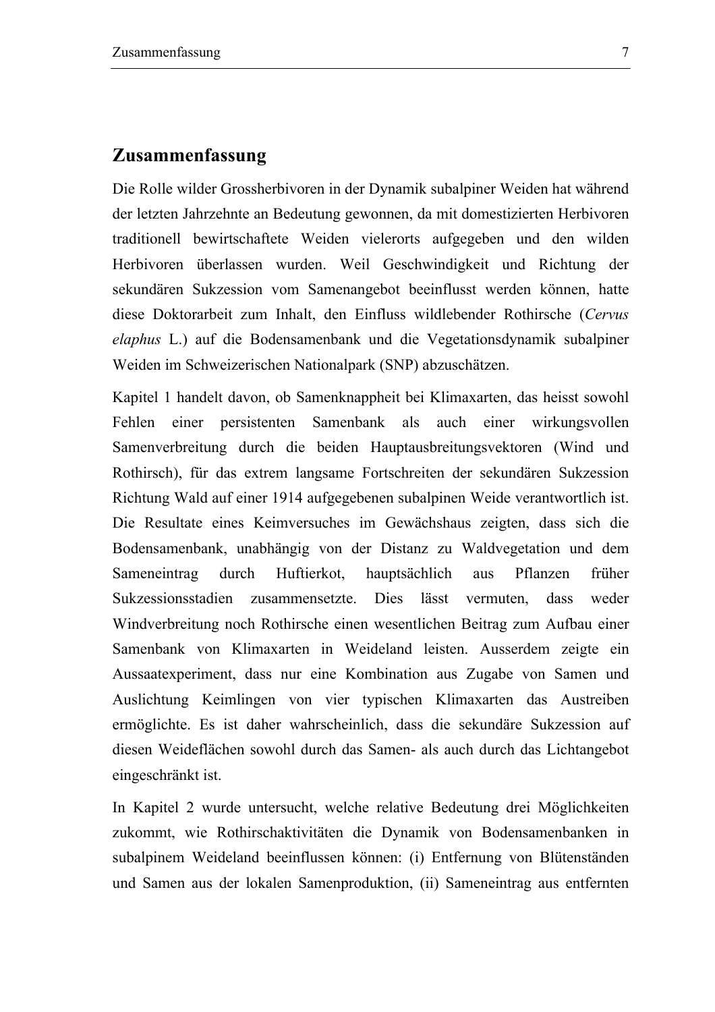### **Zusammenfassung**

Die Rolle wilder Grossherbivoren in der Dynamik subalpiner Weiden hat während der letzten Jahrzehnte an Bedeutung gewonnen, da mit domestizierten Herbivoren traditionell bewirtschaftete Weiden vielerorts aufgegeben und den wilden Herbivoren überlassen wurden. Weil Geschwindigkeit und Richtung der sekundären Sukzession vom Samenangebot beeinflusst werden können, hatte diese Doktorarbeit zum Inhalt, den Einfluss wildlebender Rothirsche (*Cervus elaphus* L.) auf die Bodensamenbank und die Vegetationsdynamik subalpiner Weiden im Schweizerischen Nationalpark (SNP) abzuschätzen.

Kapitel 1 handelt davon, ob Samenknappheit bei Klimaxarten, das heisst sowohl Fehlen einer persistenten Samenbank als auch einer wirkungsvollen Samenverbreitung durch die beiden Hauptausbreitungsvektoren (Wind und Rothirsch), für das extrem langsame Fortschreiten der sekundären Sukzession Richtung Wald auf einer 1914 aufgegebenen subalpinen Weide verantwortlich ist. Die Resultate eines Keimversuches im Gewächshaus zeigten, dass sich die Bodensamenbank, unabhängig von der Distanz zu Waldvegetation und dem Sameneintrag durch Huftierkot, hauptsächlich aus Pflanzen früher Sukzessionsstadien zusammensetzte. Dies lässt vermuten, dass weder Windverbreitung noch Rothirsche einen wesentlichen Beitrag zum Aufbau einer Samenbank von Klimaxarten in Weideland leisten. Ausserdem zeigte ein Aussaatexperiment, dass nur eine Kombination aus Zugabe von Samen und Auslichtung Keimlingen von vier typischen Klimaxarten das Austreiben ermöglichte. Es ist daher wahrscheinlich, dass die sekundäre Sukzession auf diesen Weideflächen sowohl durch das Samen- als auch durch das Lichtangebot eingeschränkt ist.

In Kapitel 2 wurde untersucht, welche relative Bedeutung drei Möglichkeiten zukommt, wie Rothirschaktivitäten die Dynamik von Bodensamenbanken in subalpinem Weideland beeinflussen können: (i) Entfernung von Blütenständen und Samen aus der lokalen Samenproduktion, (ii) Sameneintrag aus entfernten